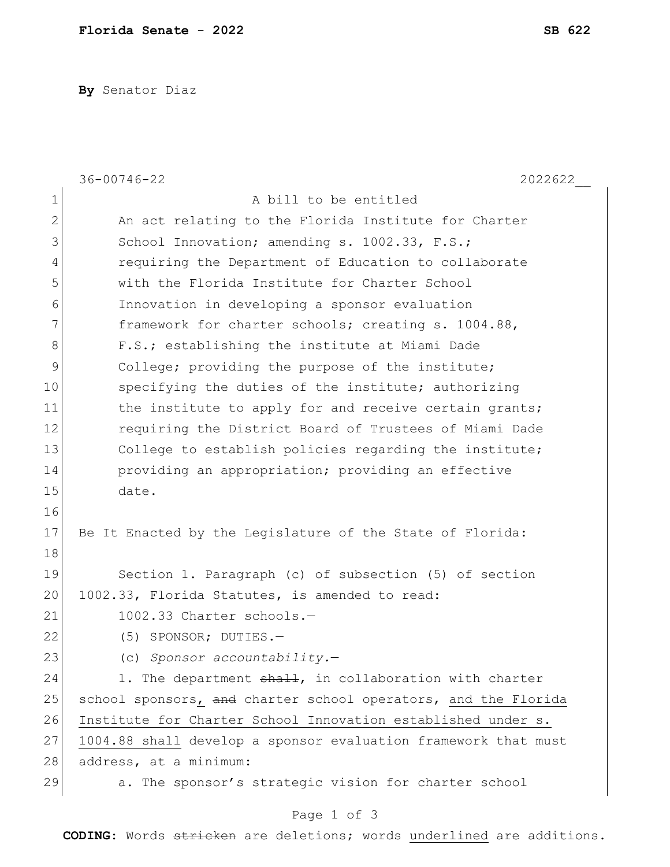**By** Senator Diaz

|                | $36 - 00746 - 22$<br>2022622                                   |
|----------------|----------------------------------------------------------------|
| $\mathbf 1$    | A bill to be entitled                                          |
| $\overline{2}$ | An act relating to the Florida Institute for Charter           |
| 3              | School Innovation; amending s. 1002.33, F.S.;                  |
| 4              | requiring the Department of Education to collaborate           |
| 5              | with the Florida Institute for Charter School                  |
| 6              | Innovation in developing a sponsor evaluation                  |
| 7              | framework for charter schools; creating s. 1004.88,            |
| 8              | F.S.; establishing the institute at Miami Dade                 |
| $\mathsf 9$    | College; providing the purpose of the institute;               |
| 10             | specifying the duties of the institute; authorizing            |
| 11             | the institute to apply for and receive certain grants;         |
| 12             | requiring the District Board of Trustees of Miami Dade         |
| 13             | College to establish policies regarding the institute;         |
| 14             | providing an appropriation; providing an effective             |
| 15             | date.                                                          |
| 16             |                                                                |
| 17             | Be It Enacted by the Legislature of the State of Florida:      |
| 18             |                                                                |
| 19             | Section 1. Paragraph (c) of subsection (5) of section          |
| 20             | 1002.33, Florida Statutes, is amended to read:                 |
| 21             | 1002.33 Charter schools.-                                      |
| 22             | $(5)$ SPONSOR; DUTIES.-                                        |
| 23             | (c) Sponsor accountability.-                                   |
| 24             | 1. The department shall, in collaboration with charter         |
| 25             | school sponsors, and charter school operators, and the Florida |
| 26             | Institute for Charter School Innovation established under s.   |
| 27             | 1004.88 shall develop a sponsor evaluation framework that must |
| 28             | address, at a minimum:                                         |
| 29             | a. The sponsor's strategic vision for charter school           |
|                |                                                                |

## Page 1 of 3

**CODING**: Words stricken are deletions; words underlined are additions.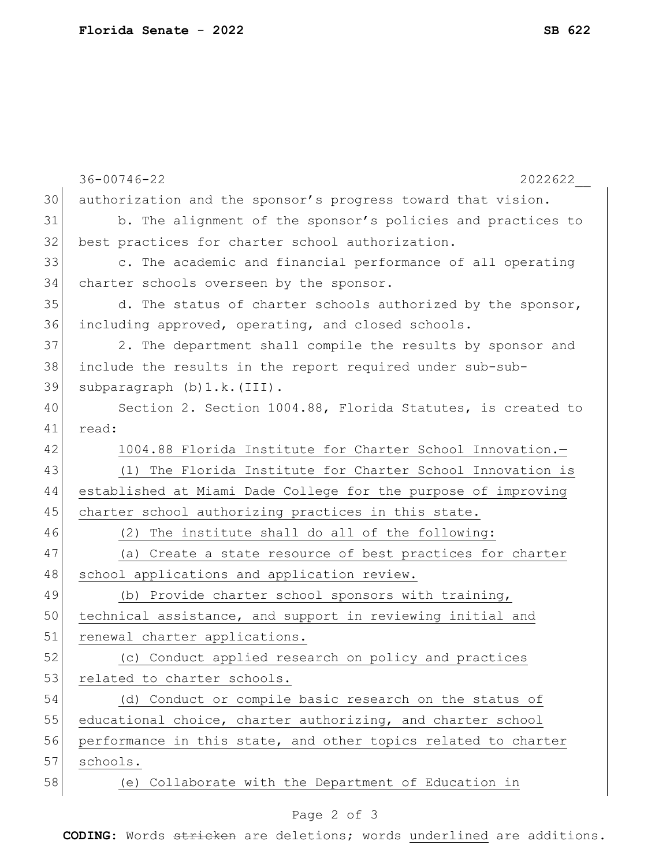|    | $36 - 00746 - 22$<br>2022622                                   |
|----|----------------------------------------------------------------|
| 30 | authorization and the sponsor's progress toward that vision.   |
| 31 | b. The alignment of the sponsor's policies and practices to    |
| 32 | best practices for charter school authorization.               |
| 33 | c. The academic and financial performance of all operating     |
| 34 | charter schools overseen by the sponsor.                       |
| 35 | d. The status of charter schools authorized by the sponsor,    |
| 36 | including approved, operating, and closed schools.             |
| 37 | 2. The department shall compile the results by sponsor and     |
| 38 | include the results in the report required under sub-sub-      |
| 39 | subparagraph (b) 1.k. (III).                                   |
| 40 | Section 2. Section 1004.88, Florida Statutes, is created to    |
| 41 | read:                                                          |
| 42 | 1004.88 Florida Institute for Charter School Innovation.-      |
| 43 | (1) The Florida Institute for Charter School Innovation is     |
| 44 | established at Miami Dade College for the purpose of improving |
| 45 | charter school authorizing practices in this state.            |
| 46 | (2) The institute shall do all of the following:               |
| 47 | (a) Create a state resource of best practices for charter      |
| 48 | school applications and application review.                    |
| 49 | (b) Provide charter school sponsors with training,             |
| 50 | technical assistance, and support in reviewing initial and     |
| 51 | renewal charter applications.                                  |
| 52 | (c) Conduct applied research on policy and practices           |
| 53 | related to charter schools.                                    |
| 54 | (d) Conduct or compile basic research on the status of         |
| 55 | educational choice, charter authorizing, and charter school    |
| 56 | performance in this state, and other topics related to charter |
| 57 | schools.                                                       |
| 58 | (e) Collaborate with the Department of Education in            |
|    |                                                                |

## Page 2 of 3

**CODING**: Words stricken are deletions; words underlined are additions.